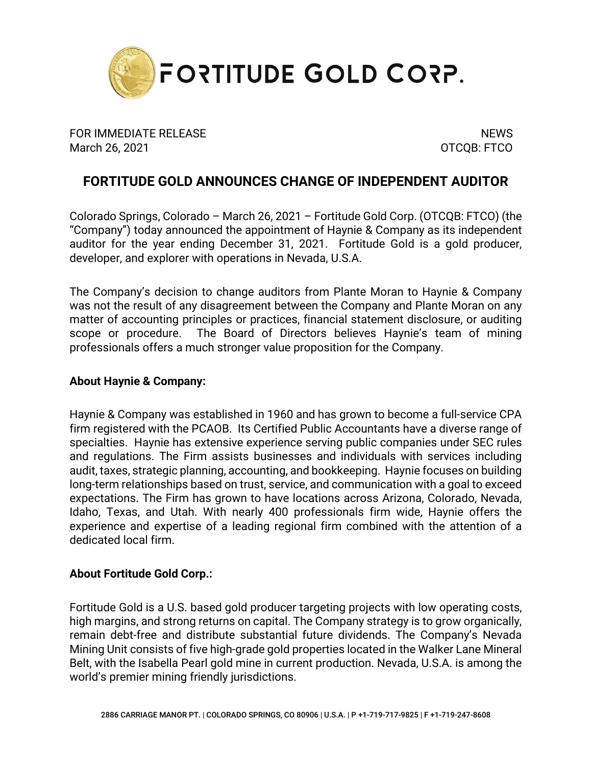

FOR IMMEDIATE RELEASE NEWS AND THE SERVICE OF STREET AND THE SERVICE OF STREET AND THE SERVICE OF STREET AND T March 26, 2021 **OTCQB: FTCO** 

## **FORTITUDE GOLD ANNOUNCES CHANGE OF INDEPENDENT AUDITOR**

Colorado Springs, Colorado – March 26, 2021 – Fortitude Gold Corp. (OTCQB: FTCO) (the "Company") today announced the appointment of Haynie & Company as its independent auditor for the year ending December 31, 2021. Fortitude Gold is a gold producer, developer, and explorer with operations in Nevada, U.S.A.

The Company's decision to change auditors from Plante Moran to Haynie & Company was not the result of any disagreement between the Company and Plante Moran on any matter of accounting principles or practices, financial statement disclosure, or auditing scope or procedure. The Board of Directors believes Haynie's team of mining professionals offers a much stronger value proposition for the Company.

## **About Haynie & Company:**

Haynie & Company was established in 1960 and has grown to become a full-service CPA firm registered with the PCAOB. Its Certified Public Accountants have a diverse range of specialties. Haynie has extensive experience serving public companies under SEC rules and regulations. The Firm assists businesses and individuals with services including audit, taxes, strategic planning, accounting, and bookkeeping. Haynie focuses on building long‐term relationships based on trust, service, and communication with a goal to exceed expectations. The Firm has grown to have locations across Arizona, Colorado, Nevada, Idaho, Texas, and Utah. With nearly 400 professionals firm wide, Haynie offers the experience and expertise of a leading regional firm combined with the attention of a dedicated local firm.

## **About Fortitude Gold Corp.:**

Fortitude Gold is a U.S. based gold producer targeting projects with low operating costs, high margins, and strong returns on capital. The Company strategy is to grow organically, remain debt-free and distribute substantial future dividends. The Company's Nevada Mining Unit consists of five high-grade gold properties located in the Walker Lane Mineral Belt, with the Isabella Pearl gold mine in current production. Nevada, U.S.A. is among the world's premier mining friendly jurisdictions.